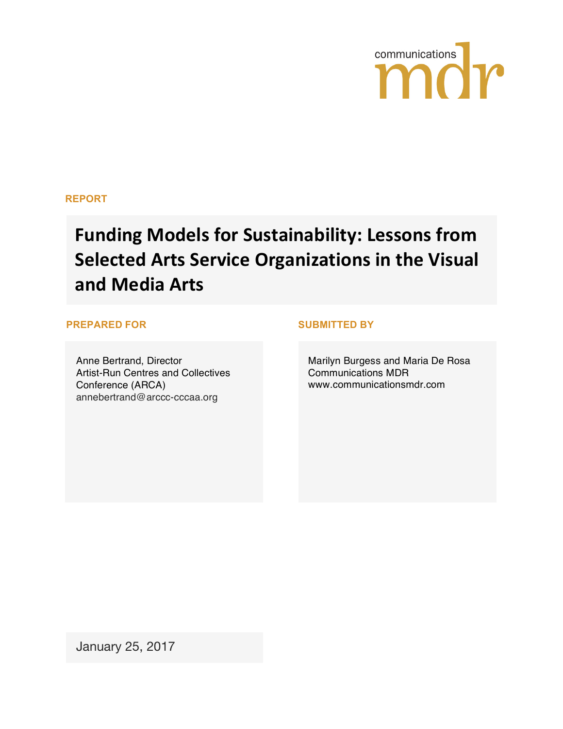

#### **REPORT**

# **Funding Models for Sustainability: Lessons from Selected Arts Service Organizations in the Visual** and Media Arts

#### **PREPARED FOR SUBMITTED BY**

Anne Bertrand, Director Artist-Run Centres and Collectives Conference (ARCA) annebertrand@arccc-cccaa.org

Marilyn Burgess and Maria De Rosa Communications MDR www.communicationsmdr.com

January 25, 2017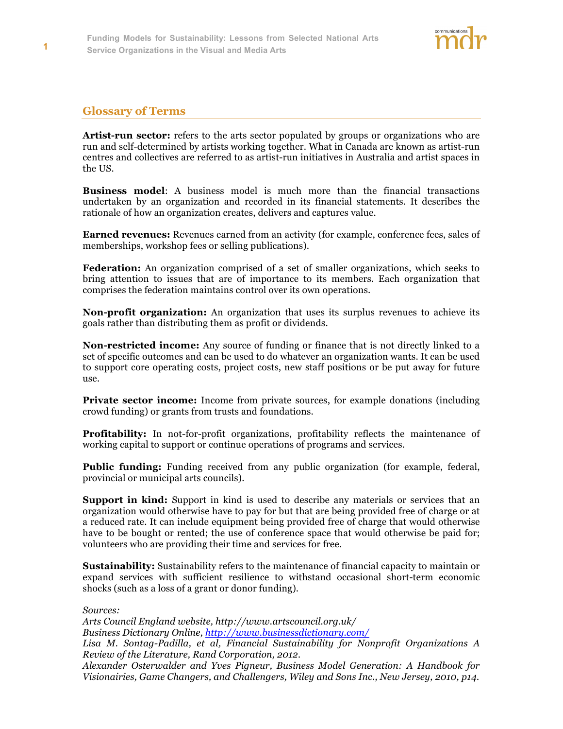# **Glossary of Terms**

**Artist-run sector:** refers to the arts sector populated by groups or organizations who are run and self-determined by artists working together. What in Canada are known as artist-run centres and collectives are referred to as artist-run initiatives in Australia and artist spaces in the US.

**Business model**: A business model is much more than the financial transactions undertaken by an organization and recorded in its financial statements. It describes the rationale of how an organization creates, delivers and captures value.

**Earned revenues:** Revenues earned from an activity (for example, conference fees, sales of memberships, workshop fees or selling publications).

**Federation:** An organization comprised of a set of smaller organizations, which seeks to bring attention to issues that are of importance to its members. Each organization that comprises the federation maintains control over its own operations.

**Non-profit organization:** An organization that uses its surplus revenues to achieve its goals rather than distributing them as profit or dividends.

**Non-restricted income:** Any source of funding or finance that is not directly linked to a set of specific outcomes and can be used to do whatever an organization wants. It can be used to support core operating costs, project costs, new staff positions or be put away for future use.

**Private sector income:** Income from private sources, for example donations (including crowd funding) or grants from trusts and foundations.

**Profitability:** In not-for-profit organizations, profitability reflects the maintenance of working capital to support or continue operations of programs and services.

**Public funding:** Funding received from any public organization (for example, federal, provincial or municipal arts councils).

**Support in kind:** Support in kind is used to describe any materials or services that an organization would otherwise have to pay for but that are being provided free of charge or at a reduced rate. It can include equipment being provided free of charge that would otherwise have to be bought or rented; the use of conference space that would otherwise be paid for; volunteers who are providing their time and services for free.

**Sustainability:** Sustainability refers to the maintenance of financial capacity to maintain or expand services with sufficient resilience to withstand occasional short-term economic shocks (such as a loss of a grant or donor funding).

*Sources:* 

*Arts Council England website, http://www.artscouncil.org.uk/*

*Business Dictionary Online, http://www.businessdictionary.com/*

*Lisa M. Sontag-Padilla, et al, Financial Sustainability for Nonprofit Organizations A Review of the Literature, Rand Corporation, 2012.*

*Alexander Osterwalder and Yves Pigneur, Business Model Generation: A Handbook for Visionairies, Game Changers, and Challengers, Wiley and Sons Inc., New Jersey, 2010, p14.*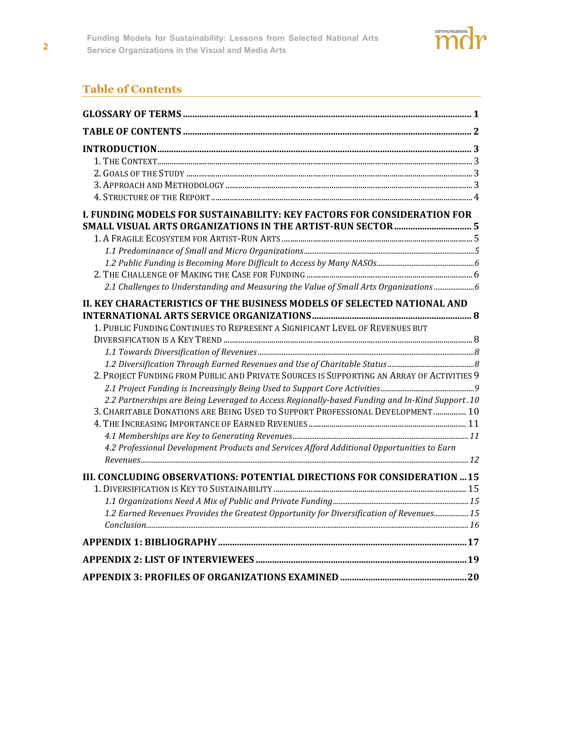

# **Table of Contents**

| <b>I. FUNDING MODELS FOR SUSTAINABILITY: KEY FACTORS FOR CONSIDERATION FOR</b>                 |  |
|------------------------------------------------------------------------------------------------|--|
|                                                                                                |  |
|                                                                                                |  |
|                                                                                                |  |
|                                                                                                |  |
|                                                                                                |  |
| 2.1 Challenges to Understanding and Measuring the Value of Small Arts Organizations            |  |
| II. KEY CHARACTERISTICS OF THE BUSINESS MODELS OF SELECTED NATIONAL AND                        |  |
|                                                                                                |  |
| 1. PUBLIC FUNDING CONTINUES TO REPRESENT A SIGNIFICANT LEVEL OF REVENUES BUT                   |  |
|                                                                                                |  |
|                                                                                                |  |
|                                                                                                |  |
| 2. PROJECT FUNDING FROM PUBLIC AND PRIVATE SOURCES IS SUPPORTING AN ARRAY OF ACTIVITIES 9      |  |
|                                                                                                |  |
| 2.2 Partnerships are Being Leveraged to Access Regionally-based Funding and In-Kind Support.10 |  |
| 3. CHARITABLE DONATIONS ARE BEING USED TO SUPPORT PROFESSIONAL DEVELOPMENT 10                  |  |
|                                                                                                |  |
|                                                                                                |  |
| 4.2 Professional Development Products and Services Afford Additional Opportunities to Earn     |  |
|                                                                                                |  |
| III. CONCLUDING OBSERVATIONS: POTENTIAL DIRECTIONS FOR CONSIDERATION  15                       |  |
|                                                                                                |  |
|                                                                                                |  |
| 1.2 Earned Revenues Provides the Greatest Opportunity for Diversification of Revenues 15       |  |
|                                                                                                |  |
|                                                                                                |  |
|                                                                                                |  |
|                                                                                                |  |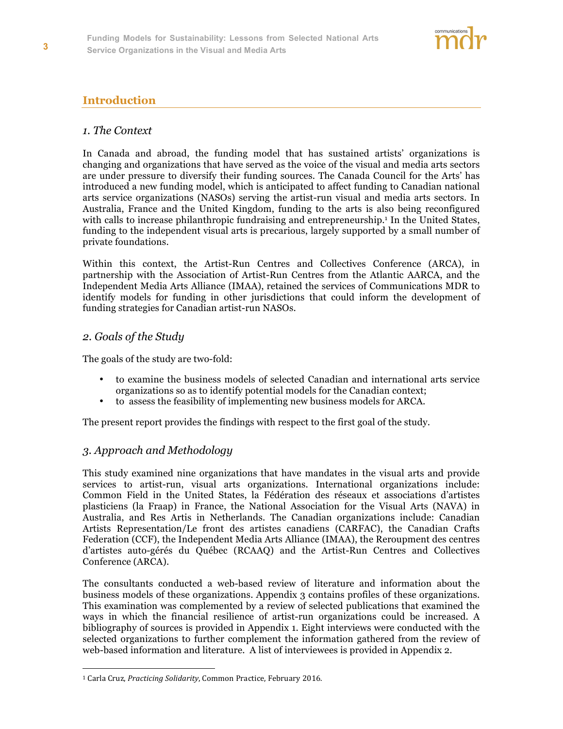

# **Introduction**

#### *1. The Context*

In Canada and abroad, the funding model that has sustained artists' organizations is changing and organizations that have served as the voice of the visual and media arts sectors are under pressure to diversify their funding sources. The Canada Council for the Arts' has introduced a new funding model, which is anticipated to affect funding to Canadian national arts service organizations (NASOs) serving the artist-run visual and media arts sectors. In Australia, France and the United Kingdom, funding to the arts is also being reconfigured with calls to increase philanthropic fundraising and entrepreneurship.<sup>1</sup> In the United States, funding to the independent visual arts is precarious, largely supported by a small number of private foundations.

Within this context, the Artist-Run Centres and Collectives Conference (ARCA), in partnership with the Association of Artist-Run Centres from the Atlantic AARCA, and the Independent Media Arts Alliance (IMAA), retained the services of Communications MDR to identify models for funding in other jurisdictions that could inform the development of funding strategies for Canadian artist-run NASOs.

#### *2. Goals of the Study*

 $\overline{a}$ 

The goals of the study are two-fold:

- to examine the business models of selected Canadian and international arts service organizations so as to identify potential models for the Canadian context;
- to assess the feasibility of implementing new business models for ARCA.

The present report provides the findings with respect to the first goal of the study.

#### *3. Approach and Methodology*

This study examined nine organizations that have mandates in the visual arts and provide services to artist-run, visual arts organizations. International organizations include: Common Field in the United States, la Fédération des réseaux et associations d'artistes plasticiens (la Fraap) in France, the National Association for the Visual Arts (NAVA) in Australia, and Res Artis in Netherlands. The Canadian organizations include: Canadian Artists Representation/Le front des artistes canadiens (CARFAC), the Canadian Crafts Federation (CCF), the Independent Media Arts Alliance (IMAA), the Reroupment des centres d'artistes auto-gérés du Québec (RCAAQ) and the Artist-Run Centres and Collectives Conference (ARCA).

The consultants conducted a web-based review of literature and information about the business models of these organizations. Appendix 3 contains profiles of these organizations. This examination was complemented by a review of selected publications that examined the ways in which the financial resilience of artist-run organizations could be increased. A bibliography of sources is provided in Appendix 1. Eight interviews were conducted with the selected organizations to further complement the information gathered from the review of web-based information and literature. A list of interviewees is provided in Appendix 2.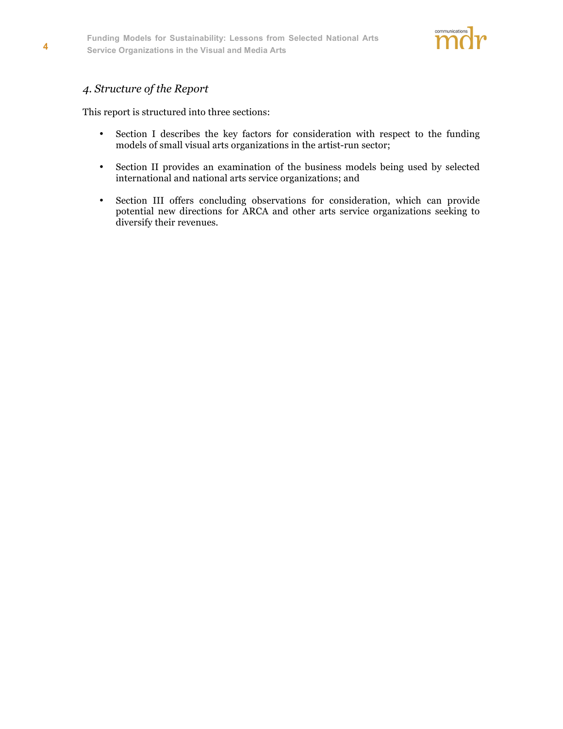

# *4. Structure of the Report*

This report is structured into three sections:

- Section I describes the key factors for consideration with respect to the funding models of small visual arts organizations in the artist-run sector;
- Section II provides an examination of the business models being used by selected international and national arts service organizations; and
- Section III offers concluding observations for consideration, which can provide potential new directions for ARCA and other arts service organizations seeking to diversify their revenues.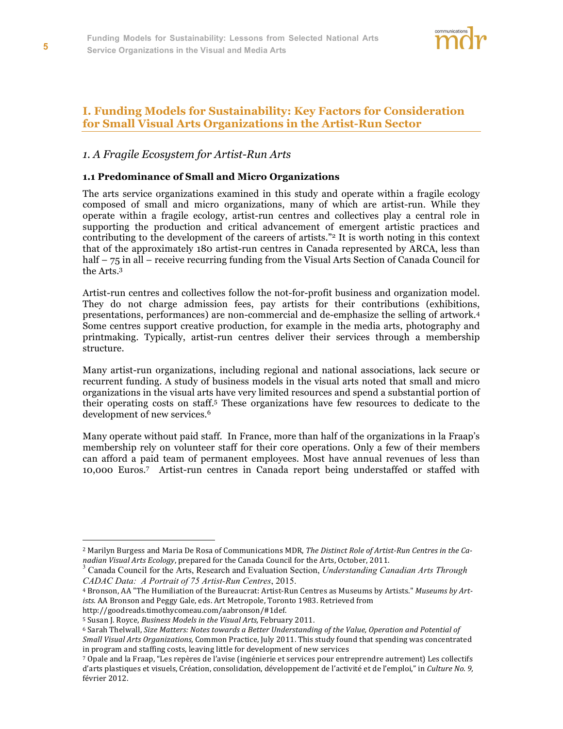

# **I. Funding Models for Sustainability: Key Factors for Consideration for Small Visual Arts Organizations in the Artist-Run Sector**

#### *1. A Fragile Ecosystem for Artist-Run Arts*

#### **1.1 Predominance of Small and Micro Organizations**

The arts service organizations examined in this study and operate within a fragile ecology composed of small and micro organizations, many of which are artist-run. While they operate within a fragile ecology, artist-run centres and collectives play a central role in supporting the production and critical advancement of emergent artistic practices and contributing to the development of the careers of artists."<sup>2</sup> It is worth noting in this context that of the approximately 180 artist-run centres in Canada represented by ARCA, less than half – 75 in all – receive recurring funding from the Visual Arts Section of Canada Council for the Arts.3

Artist-run centres and collectives follow the not-for-profit business and organization model. They do not charge admission fees, pay artists for their contributions (exhibitions, presentations, performances) are non-commercial and de-emphasize the selling of artwork.4 Some centres support creative production, for example in the media arts, photography and printmaking. Typically, artist-run centres deliver their services through a membership structure.

Many artist-run organizations, including regional and national associations, lack secure or recurrent funding. A study of business models in the visual arts noted that small and micro organizations in the visual arts have very limited resources and spend a substantial portion of their operating costs on staff.5 These organizations have few resources to dedicate to the development of new services.<sup>6</sup>

Many operate without paid staff. In France, more than half of the organizations in la Fraap's membership rely on volunteer staff for their core operations. Only a few of their members can afford a paid team of permanent employees. Most have annual revenues of less than 10,000 Euros.7 Artist-run centres in Canada report being understaffed or staffed with

<sup>2</sup> Marilyn Burgess and Maria De Rosa of Communications MDR, *The Distinct Role of Artist-Run Centres in the Ca*nadian Visual Arts Ecology, prepared for the Canada Council for the Arts, October, 2011.<br><sup>3</sup> Canada Council for the Arts, Research and Evaluation Section, *Understanding Canadian Arts Through* 

*CADAC Data: A Portrait of 75 Artist-Run Centres*, 2015.

<sup>4</sup> Bronson, AA "The Humiliation of the Bureaucrat: Artist-Run Centres as Museums by Artists." *Museums by Artists.* AA Bronson and Peggy Gale, eds. Art Metropole, Toronto 1983. Retrieved from

http://goodreads.timothycomeau.com/aabronson/#1def.

<sup>5</sup> Susan J. Royce, *Business Models in the Visual Arts,* February 2011.

<sup>6</sup> Sarah Thelwall, *Size Matters: Notes towards a Better Understanding of the Value, Operation and Potential of Small Visual Arts Organizations,* Common Practice, July 2011. This study found that spending was concentrated in program and staffing costs, leaving little for development of new services

<sup>7</sup> Opale and la Fraap, "Les repères de l'avise (ingénierie et services pour entreprendre autrement) Les collectifs d'arts plastiques et visuels, Création, consolidation, développement de l'activité et de l'emploi," in *Culture No. 9,* février 2012.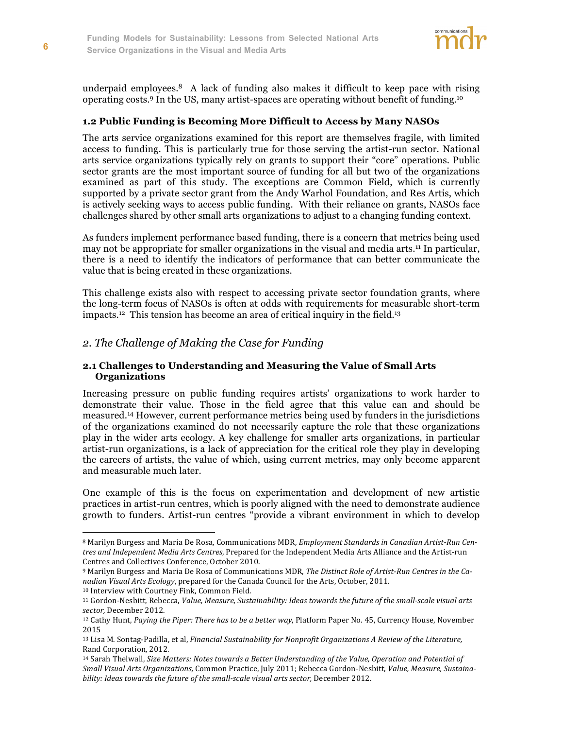

underpaid employees.<sup>8</sup> A lack of funding also makes it difficult to keep pace with rising operating costs.9 In the US, many artist-spaces are operating without benefit of funding.10

#### **1.2 Public Funding is Becoming More Difficult to Access by Many NASOs**

The arts service organizations examined for this report are themselves fragile, with limited access to funding. This is particularly true for those serving the artist-run sector. National arts service organizations typically rely on grants to support their "core" operations. Public sector grants are the most important source of funding for all but two of the organizations examined as part of this study. The exceptions are Common Field, which is currently supported by a private sector grant from the Andy Warhol Foundation, and Res Artis, which is actively seeking ways to access public funding. With their reliance on grants, NASOs face challenges shared by other small arts organizations to adjust to a changing funding context.

As funders implement performance based funding, there is a concern that metrics being used may not be appropriate for smaller organizations in the visual and media arts.<sup>11</sup> In particular, there is a need to identify the indicators of performance that can better communicate the value that is being created in these organizations.

This challenge exists also with respect to accessing private sector foundation grants, where the long-term focus of NASOs is often at odds with requirements for measurable short-term impacts. <sup>12</sup> This tension has become an area of critical inquiry in the field. 13

#### *2. The Challenge of Making the Case for Funding*

#### **2.1 Challenges to Understanding and Measuring the Value of Small Arts Organizations**

Increasing pressure on public funding requires artists' organizations to work harder to demonstrate their value. Those in the field agree that this value can and should be measured.14 However, current performance metrics being used by funders in the jurisdictions of the organizations examined do not necessarily capture the role that these organizations play in the wider arts ecology. A key challenge for smaller arts organizations, in particular artist-run organizations, is a lack of appreciation for the critical role they play in developing the careers of artists, the value of which, using current metrics, may only become apparent and measurable much later.

One example of this is the focus on experimentation and development of new artistic practices in artist-run centres, which is poorly aligned with the need to demonstrate audience growth to funders. Artist-run centres "provide a vibrant environment in which to develop

<sup>8</sup> Marilyn Burgess and Maria De Rosa, Communications MDR, *Employment Standards in Canadian Artist-Run Centres and Independent Media Arts Centres*, Prepared for the Independent Media Arts Alliance and the Artist-run Centres and Collectives Conference, October 2010.

<sup>9</sup> Marilyn Burgess and Maria De Rosa of Communications MDR, *The Distinct Role of Artist-Run Centres in the Canadian Visual Arts Ecology*, prepared for the Canada Council for the Arts, October, 2011. <sup>10</sup> Interview with Courtney Fink, Common Field.

<sup>11</sup> Gordon-Nesbitt, Rebecca, *Value, Measure, Sustainability: Ideas towards the future of the small-scale visual arts sector,* December 2012.

<sup>12</sup> Cathy Hunt, *Paying the Piper: There has to be a better way*, Platform Paper No. 45, Currency House, November 2015

<sup>&</sup>lt;sup>13</sup> Lisa M. Sontag-Padilla, et al, *Financial Sustainability for Nonprofit Organizations A Review of the Literature,* Rand Corporation, 2012.

<sup>14</sup> Sarah Thelwall, *Size Matters: Notes towards a Better Understanding of the Value, Operation and Potential of Small Visual Arts Organizations,* Common Practice, July 2011; Rebecca Gordon-Nesbitt, *Value, Measure, Sustainability: Ideas towards the future of the small-scale visual arts sector,* December 2012.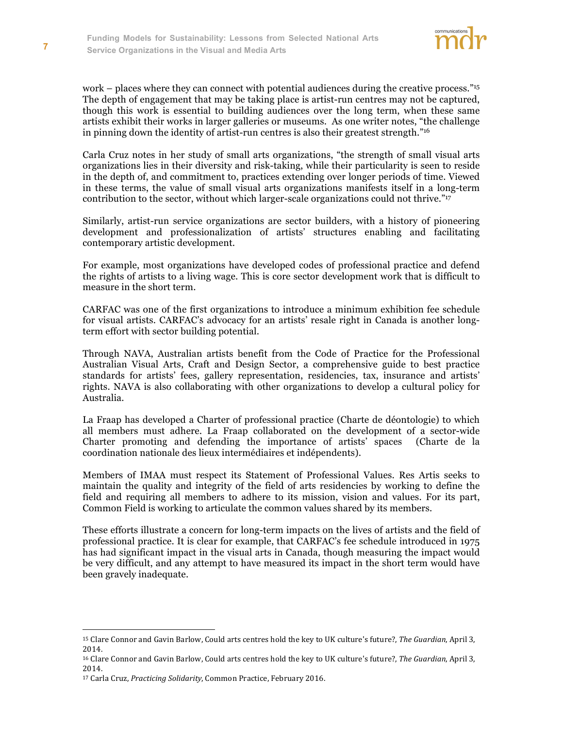

work – places where they can connect with potential audiences during the creative process."<sup>15</sup> The depth of engagement that may be taking place is artist-run centres may not be captured, though this work is essential to building audiences over the long term, when these same artists exhibit their works in larger galleries or museums. As one writer notes, "the challenge in pinning down the identity of artist-run centres is also their greatest strength."16

Carla Cruz notes in her study of small arts organizations, "the strength of small visual arts organizations lies in their diversity and risk-taking, while their particularity is seen to reside in the depth of, and commitment to, practices extending over longer periods of time. Viewed in these terms, the value of small visual arts organizations manifests itself in a long-term contribution to the sector, without which larger-scale organizations could not thrive."<sup>17</sup>

Similarly, artist-run service organizations are sector builders, with a history of pioneering development and professionalization of artists' structures enabling and facilitating contemporary artistic development.

For example, most organizations have developed codes of professional practice and defend the rights of artists to a living wage. This is core sector development work that is difficult to measure in the short term.

CARFAC was one of the first organizations to introduce a minimum exhibition fee schedule for visual artists. CARFAC's advocacy for an artists' resale right in Canada is another longterm effort with sector building potential.

Through NAVA, Australian artists benefit from the Code of Practice for the Professional Australian Visual Arts, Craft and Design Sector, a comprehensive guide to best practice standards for artists' fees, gallery representation, residencies, tax, insurance and artists' rights. NAVA is also collaborating with other organizations to develop a cultural policy for Australia.

La Fraap has developed a Charter of professional practice (Charte de déontologie) to which all members must adhere. La Fraap collaborated on the development of a sector-wide Charter promoting and defending the importance of artists' spaces (Charte de la coordination nationale des lieux intermédiaires et indépendents).

Members of IMAA must respect its Statement of Professional Values. Res Artis seeks to maintain the quality and integrity of the field of arts residencies by working to define the field and requiring all members to adhere to its mission, vision and values. For its part, Common Field is working to articulate the common values shared by its members.

These efforts illustrate a concern for long-term impacts on the lives of artists and the field of professional practice. It is clear for example, that CARFAC's fee schedule introduced in 1975 has had significant impact in the visual arts in Canada, though measuring the impact would be very difficult, and any attempt to have measured its impact in the short term would have been gravely inadequate.

<sup>15</sup> Clare Connor and Gavin Barlow, Could arts centres hold the key to UK culture's future?, *The Guardian*, April 3, 2014.

<sup>16</sup> Clare Connor and Gavin Barlow, Could arts centres hold the key to UK culture's future?, *The Guardian*, April 3, 2014.

<sup>17</sup> Carla Cruz, *Practicing Solidarity*, Common Practice, February 2016.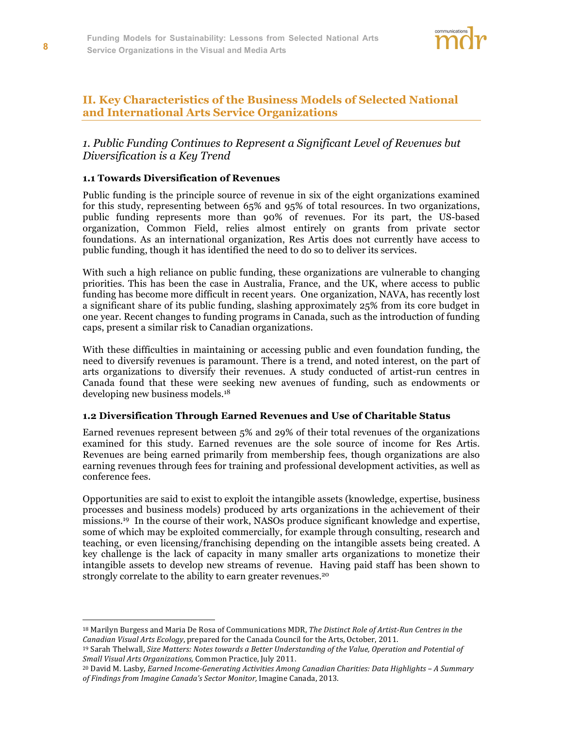

# **II. Key Characteristics of the Business Models of Selected National and International Arts Service Organizations**

# *1. Public Funding Continues to Represent a Significant Level of Revenues but Diversification is a Key Trend*

#### **1.1 Towards Diversification of Revenues**

Public funding is the principle source of revenue in six of the eight organizations examined for this study, representing between 65% and 95% of total resources. In two organizations, public funding represents more than 90% of revenues. For its part, the US-based organization, Common Field, relies almost entirely on grants from private sector foundations. As an international organization, Res Artis does not currently have access to public funding, though it has identified the need to do so to deliver its services.

With such a high reliance on public funding, these organizations are vulnerable to changing priorities. This has been the case in Australia, France, and the UK, where access to public funding has become more difficult in recent years. One organization, NAVA, has recently lost a significant share of its public funding, slashing approximately 25% from its core budget in one year. Recent changes to funding programs in Canada, such as the introduction of funding caps, present a similar risk to Canadian organizations.

With these difficulties in maintaining or accessing public and even foundation funding, the need to diversify revenues is paramount. There is a trend, and noted interest, on the part of arts organizations to diversify their revenues. A study conducted of artist-run centres in Canada found that these were seeking new avenues of funding, such as endowments or developing new business models.18

#### **1.2 Diversification Through Earned Revenues and Use of Charitable Status**

Earned revenues represent between 5% and 29% of their total revenues of the organizations examined for this study. Earned revenues are the sole source of income for Res Artis. Revenues are being earned primarily from membership fees, though organizations are also earning revenues through fees for training and professional development activities, as well as conference fees.

Opportunities are said to exist to exploit the intangible assets (knowledge, expertise, business processes and business models) produced by arts organizations in the achievement of their missions. 19 In the course of their work, NASOs produce significant knowledge and expertise, some of which may be exploited commercially, for example through consulting, research and teaching, or even licensing/franchising depending on the intangible assets being created. A key challenge is the lack of capacity in many smaller arts organizations to monetize their intangible assets to develop new streams of revenue. Having paid staff has been shown to strongly correlate to the ability to earn greater revenues.<sup>20</sup>

<sup>18</sup> Marilyn Burgess and Maria De Rosa of Communications MDR, *The Distinct Role of Artist-Run Centres in the Canadian Visual Arts Ecology*, prepared for the Canada Council for the Arts, October, 2011.

<sup>19</sup> Sarah Thelwall, *Size Matters: Notes towards a Better Understanding of the Value, Operation and Potential of Small Visual Arts Organizations,* Common Practice, July 2011.

<sup>20</sup> David M. Lasby, *Earned Income-Generating Activities Among Canadian Charities: Data Highlights – A Summary of Findings from Imagine Canada's Sector Monitor,* Imagine Canada, 2013.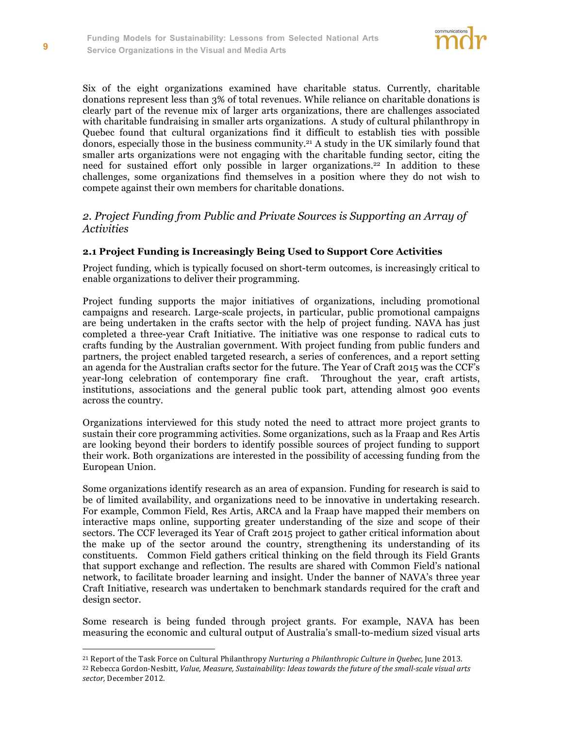

Six of the eight organizations examined have charitable status. Currently, charitable donations represent less than 3% of total revenues. While reliance on charitable donations is clearly part of the revenue mix of larger arts organizations, there are challenges associated with charitable fundraising in smaller arts organizations. A study of cultural philanthropy in Quebec found that cultural organizations find it difficult to establish ties with possible donors, especially those in the business community.21 A study in the UK similarly found that smaller arts organizations were not engaging with the charitable funding sector, citing the need for sustained effort only possible in larger organizations.<sup>22</sup> In addition to these challenges, some organizations find themselves in a position where they do not wish to compete against their own members for charitable donations.

# *2. Project Funding from Public and Private Sources is Supporting an Array of Activities*

#### **2.1 Project Funding is Increasingly Being Used to Support Core Activities**

Project funding, which is typically focused on short-term outcomes, is increasingly critical to enable organizations to deliver their programming.

Project funding supports the major initiatives of organizations, including promotional campaigns and research. Large-scale projects, in particular, public promotional campaigns are being undertaken in the crafts sector with the help of project funding. NAVA has just completed a three-year Craft Initiative. The initiative was one response to radical cuts to crafts funding by the Australian government. With project funding from public funders and partners, the project enabled targeted research, a series of conferences, and a report setting an agenda for the Australian crafts sector for the future. The Year of Craft 2015 was the CCF's year-long celebration of contemporary fine craft. Throughout the year, craft artists, institutions, associations and the general public took part, attending almost 900 events across the country.

Organizations interviewed for this study noted the need to attract more project grants to sustain their core programming activities. Some organizations, such as la Fraap and Res Artis are looking beyond their borders to identify possible sources of project funding to support their work. Both organizations are interested in the possibility of accessing funding from the European Union.

Some organizations identify research as an area of expansion. Funding for research is said to be of limited availability, and organizations need to be innovative in undertaking research. For example, Common Field, Res Artis, ARCA and la Fraap have mapped their members on interactive maps online, supporting greater understanding of the size and scope of their sectors. The CCF leveraged its Year of Craft 2015 project to gather critical information about the make up of the sector around the country, strengthening its understanding of its constituents. Common Field gathers critical thinking on the field through its Field Grants that support exchange and reflection. The results are shared with Common Field's national network, to facilitate broader learning and insight. Under the banner of NAVA's three year Craft Initiative, research was undertaken to benchmark standards required for the craft and design sector.

Some research is being funded through project grants. For example, NAVA has been measuring the economic and cultural output of Australia's small-to-medium sized visual arts

<sup>21</sup> Report of the Task Force on Cultural Philanthropy *Nurturing a Philanthropic Culture in Quebec,* June 2013. <sup>22</sup> Rebecca Gordon-Nesbitt, *Value, Measure, Sustainability: Ideas towards the future of the small-scale visual arts sector,* December 2012.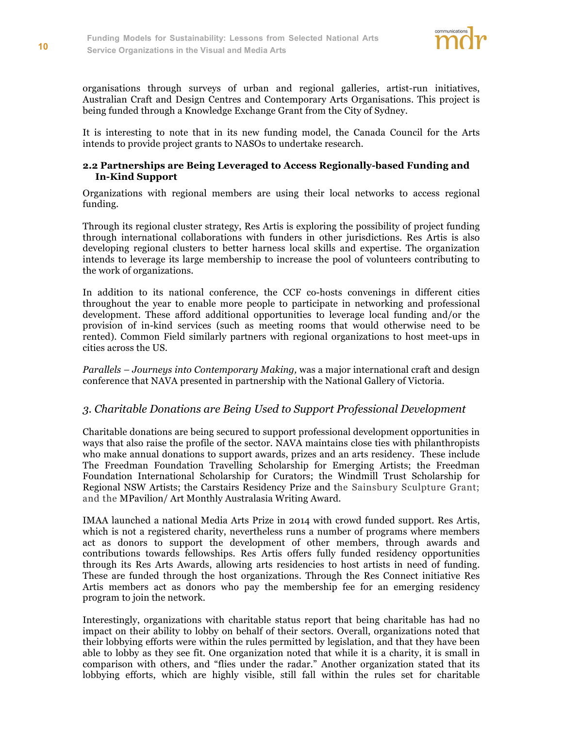

organisations through surveys of urban and regional galleries, artist-run initiatives, Australian Craft and Design Centres and Contemporary Arts Organisations. This project is being funded through a Knowledge Exchange Grant from the City of Sydney.

It is interesting to note that in its new funding model, the Canada Council for the Arts intends to provide project grants to NASOs to undertake research.

#### **2.2 Partnerships are Being Leveraged to Access Regionally-based Funding and In-Kind Support**

Organizations with regional members are using their local networks to access regional funding.

Through its regional cluster strategy, Res Artis is exploring the possibility of project funding through international collaborations with funders in other jurisdictions. Res Artis is also developing regional clusters to better harness local skills and expertise. The organization intends to leverage its large membership to increase the pool of volunteers contributing to the work of organizations.

In addition to its national conference, the CCF co-hosts convenings in different cities throughout the year to enable more people to participate in networking and professional development. These afford additional opportunities to leverage local funding and/or the provision of in-kind services (such as meeting rooms that would otherwise need to be rented). Common Field similarly partners with regional organizations to host meet-ups in cities across the US.

*Parallels – Journeys into Contemporary Making,* was a major international craft and design conference that NAVA presented in partnership with the National Gallery of Victoria.

#### *3. Charitable Donations are Being Used to Support Professional Development*

Charitable donations are being secured to support professional development opportunities in ways that also raise the profile of the sector. NAVA maintains close ties with philanthropists who make annual donations to support awards, prizes and an arts residency. These include The Freedman Foundation Travelling Scholarship for Emerging Artists; the Freedman Foundation International Scholarship for Curators; the Windmill Trust Scholarship for Regional NSW Artists; the Carstairs Residency Prize and the Sainsbury Sculpture Grant; and the MPavilion/ Art Monthly Australasia Writing Award.

IMAA launched a national Media Arts Prize in 2014 with crowd funded support. Res Artis, which is not a registered charity, nevertheless runs a number of programs where members act as donors to support the development of other members, through awards and contributions towards fellowships. Res Artis offers fully funded residency opportunities through its Res Arts Awards, allowing arts residencies to host artists in need of funding. These are funded through the host organizations. Through the Res Connect initiative Res Artis members act as donors who pay the membership fee for an emerging residency program to join the network.

Interestingly, organizations with charitable status report that being charitable has had no impact on their ability to lobby on behalf of their sectors. Overall, organizations noted that their lobbying efforts were within the rules permitted by legislation, and that they have been able to lobby as they see fit. One organization noted that while it is a charity, it is small in comparison with others, and "flies under the radar." Another organization stated that its lobbying efforts, which are highly visible, still fall within the rules set for charitable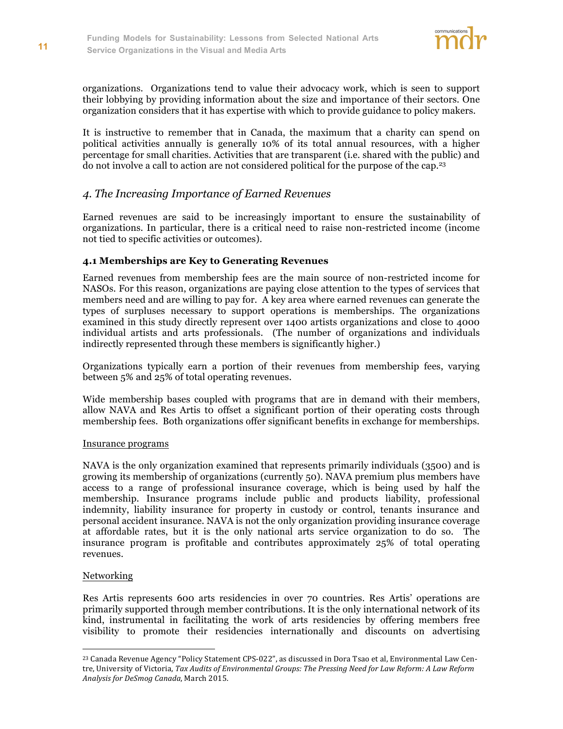

organizations. Organizations tend to value their advocacy work, which is seen to support their lobbying by providing information about the size and importance of their sectors. One organization considers that it has expertise with which to provide guidance to policy makers.

It is instructive to remember that in Canada, the maximum that a charity can spend on political activities annually is generally 10% of its total annual resources, with a higher percentage for small charities. Activities that are transparent (i.e. shared with the public) and do not involve a call to action are not considered political for the purpose of the cap.23

# *4. The Increasing Importance of Earned Revenues*

Earned revenues are said to be increasingly important to ensure the sustainability of organizations. In particular, there is a critical need to raise non-restricted income (income not tied to specific activities or outcomes).

#### **4.1 Memberships are Key to Generating Revenues**

Earned revenues from membership fees are the main source of non-restricted income for NASOs. For this reason, organizations are paying close attention to the types of services that members need and are willing to pay for. A key area where earned revenues can generate the types of surpluses necessary to support operations is memberships. The organizations examined in this study directly represent over 1400 artists organizations and close to 4000 individual artists and arts professionals. (The number of organizations and individuals indirectly represented through these members is significantly higher.)

Organizations typically earn a portion of their revenues from membership fees, varying between 5% and 25% of total operating revenues.

Wide membership bases coupled with programs that are in demand with their members, allow NAVA and Res Artis to offset a significant portion of their operating costs through membership fees. Both organizations offer significant benefits in exchange for memberships.

#### Insurance programs

NAVA is the only organization examined that represents primarily individuals (3500) and is growing its membership of organizations (currently 50). NAVA premium plus members have access to a range of professional insurance coverage, which is being used by half the membership. Insurance programs include public and products liability, professional indemnity, liability insurance for property in custody or control, tenants insurance and personal accident insurance. NAVA is not the only organization providing insurance coverage at affordable rates, but it is the only national arts service organization to do so. The insurance program is profitable and contributes approximately 25% of total operating revenues.

#### **Networking**

 $\overline{a}$ 

Res Artis represents 600 arts residencies in over 70 countries. Res Artis' operations are primarily supported through member contributions. It is the only international network of its kind, instrumental in facilitating the work of arts residencies by offering members free visibility to promote their residencies internationally and discounts on advertising

<sup>23</sup> Canada Revenue Agency "Policy Statement CPS-022", as discussed in Dora Tsao et al, Environmental Law Centre, University of Victoria, *Tax Audits of Environmental Groups: The Pressing Need for Law Reform: A Law Reform Analysis for DeSmog Canada*, March 2015.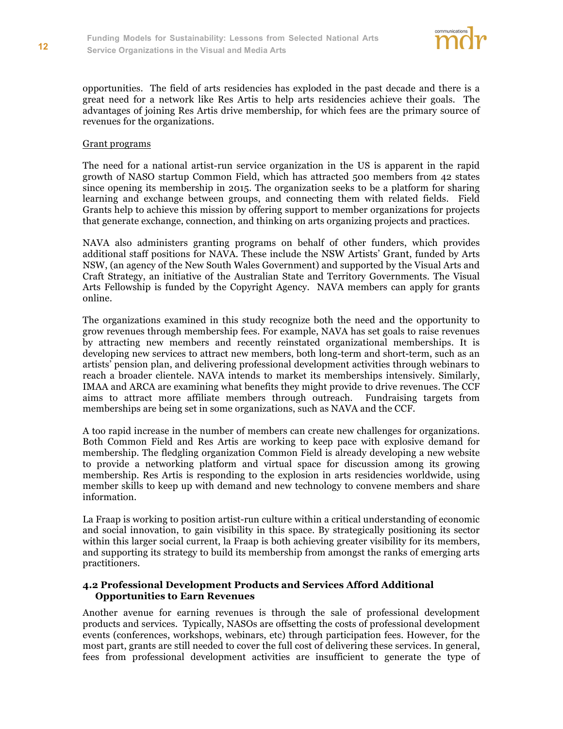

opportunities. The field of arts residencies has exploded in the past decade and there is a great need for a network like Res Artis to help arts residencies achieve their goals. The advantages of joining Res Artis drive membership, for which fees are the primary source of revenues for the organizations.

#### Grant programs

The need for a national artist-run service organization in the US is apparent in the rapid growth of NASO startup Common Field, which has attracted 500 members from 42 states since opening its membership in 2015. The organization seeks to be a platform for sharing learning and exchange between groups, and connecting them with related fields. Field Grants help to achieve this mission by offering support to member organizations for projects that generate exchange, connection, and thinking on arts organizing projects and practices.

NAVA also administers granting programs on behalf of other funders, which provides additional staff positions for NAVA. These include the NSW Artists' Grant, funded by Arts NSW, (an agency of the New South Wales Government) and supported by the Visual Arts and Craft Strategy, an initiative of the Australian State and Territory Governments. The Visual Arts Fellowship is funded by the Copyright Agency. NAVA members can apply for grants online.

The organizations examined in this study recognize both the need and the opportunity to grow revenues through membership fees. For example, NAVA has set goals to raise revenues by attracting new members and recently reinstated organizational memberships. It is developing new services to attract new members, both long-term and short-term, such as an artists' pension plan, and delivering professional development activities through webinars to reach a broader clientele. NAVA intends to market its memberships intensively. Similarly, IMAA and ARCA are examining what benefits they might provide to drive revenues. The CCF aims to attract more affiliate members through outreach. Fundraising targets from memberships are being set in some organizations, such as NAVA and the CCF.

A too rapid increase in the number of members can create new challenges for organizations. Both Common Field and Res Artis are working to keep pace with explosive demand for membership. The fledgling organization Common Field is already developing a new website to provide a networking platform and virtual space for discussion among its growing membership. Res Artis is responding to the explosion in arts residencies worldwide, using member skills to keep up with demand and new technology to convene members and share information.

La Fraap is working to position artist-run culture within a critical understanding of economic and social innovation, to gain visibility in this space. By strategically positioning its sector within this larger social current, la Fraap is both achieving greater visibility for its members, and supporting its strategy to build its membership from amongst the ranks of emerging arts practitioners.

#### **4.2 Professional Development Products and Services Afford Additional Opportunities to Earn Revenues**

Another avenue for earning revenues is through the sale of professional development products and services. Typically, NASOs are offsetting the costs of professional development events (conferences, workshops, webinars, etc) through participation fees. However, for the most part, grants are still needed to cover the full cost of delivering these services. In general, fees from professional development activities are insufficient to generate the type of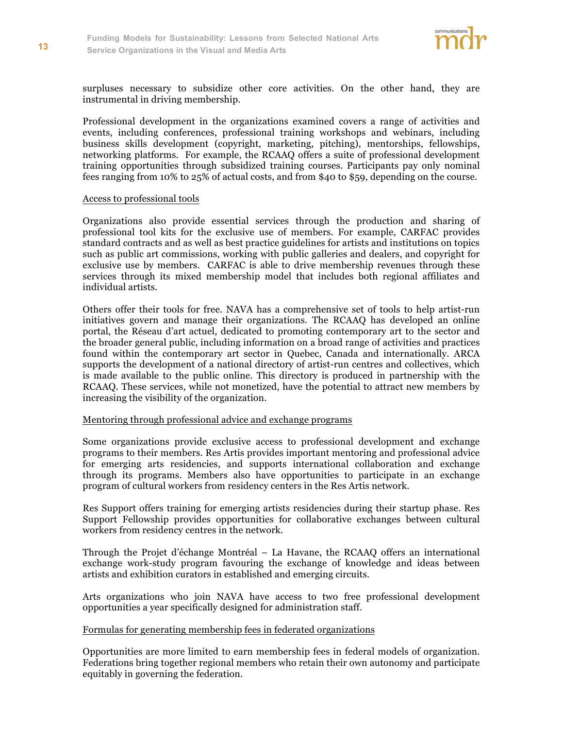

surpluses necessary to subsidize other core activities. On the other hand, they are instrumental in driving membership.

Professional development in the organizations examined covers a range of activities and events, including conferences, professional training workshops and webinars, including business skills development (copyright, marketing, pitching), mentorships, fellowships, networking platforms. For example, the RCAAQ offers a suite of professional development training opportunities through subsidized training courses. Participants pay only nominal fees ranging from 10% to 25% of actual costs, and from \$40 to \$59, depending on the course.

#### Access to professional tools

Organizations also provide essential services through the production and sharing of professional tool kits for the exclusive use of members. For example, CARFAC provides standard contracts and as well as best practice guidelines for artists and institutions on topics such as public art commissions, working with public galleries and dealers, and copyright for exclusive use by members. CARFAC is able to drive membership revenues through these services through its mixed membership model that includes both regional affiliates and individual artists.

Others offer their tools for free. NAVA has a comprehensive set of tools to help artist-run initiatives govern and manage their organizations. The RCAAQ has developed an online portal, the Réseau d'art actuel, dedicated to promoting contemporary art to the sector and the broader general public, including information on a broad range of activities and practices found within the contemporary art sector in Quebec, Canada and internationally. ARCA supports the development of a national directory of artist-run centres and collectives, which is made available to the public online. This directory is produced in partnership with the RCAAQ. These services, while not monetized, have the potential to attract new members by increasing the visibility of the organization.

#### Mentoring through professional advice and exchange programs

Some organizations provide exclusive access to professional development and exchange programs to their members. Res Artis provides important mentoring and professional advice for emerging arts residencies, and supports international collaboration and exchange through its programs. Members also have opportunities to participate in an exchange program of cultural workers from residency centers in the Res Artis network.

Res Support offers training for emerging artists residencies during their startup phase. Res Support Fellowship provides opportunities for collaborative exchanges between cultural workers from residency centres in the network.

Through the Projet d'échange Montréal – La Havane, the RCAAQ offers an international exchange work-study program favouring the exchange of knowledge and ideas between artists and exhibition curators in established and emerging circuits.

Arts organizations who join NAVA have access to two free professional development opportunities a year specifically designed for administration staff.

#### Formulas for generating membership fees in federated organizations

Opportunities are more limited to earn membership fees in federal models of organization. Federations bring together regional members who retain their own autonomy and participate equitably in governing the federation.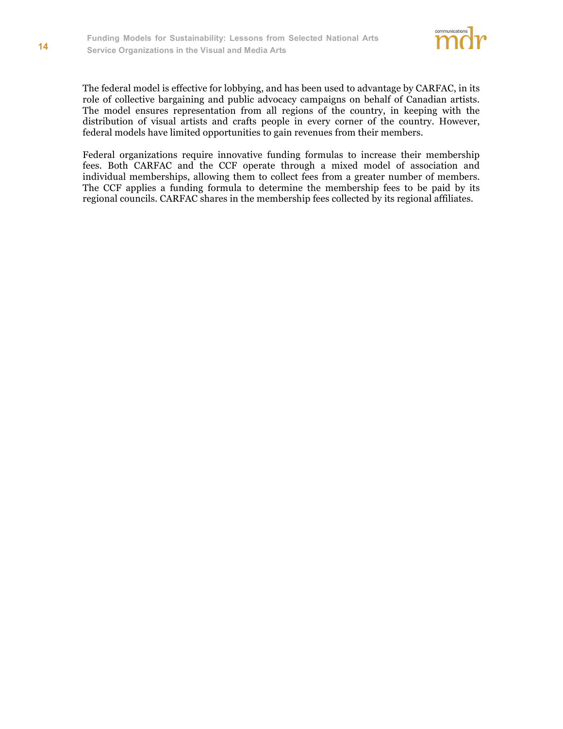

The federal model is effective for lobbying, and has been used to advantage by CARFAC, in its role of collective bargaining and public advocacy campaigns on behalf of Canadian artists. The model ensures representation from all regions of the country, in keeping with the distribution of visual artists and crafts people in every corner of the country. However, federal models have limited opportunities to gain revenues from their members.

Federal organizations require innovative funding formulas to increase their membership fees. Both CARFAC and the CCF operate through a mixed model of association and individual memberships, allowing them to collect fees from a greater number of members. The CCF applies a funding formula to determine the membership fees to be paid by its regional councils. CARFAC shares in the membership fees collected by its regional affiliates.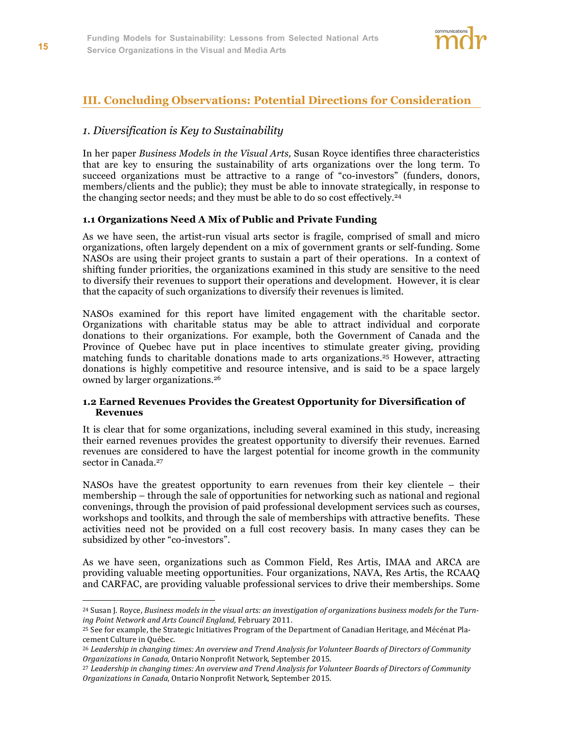

# **III. Concluding Observations: Potential Directions for Consideration**

### *1. Diversification is Key to Sustainability*

In her paper *Business Models in the Visual Arts,* Susan Royce identifies three characteristics that are key to ensuring the sustainability of arts organizations over the long term. To succeed organizations must be attractive to a range of "co-investors" (funders, donors, members/clients and the public); they must be able to innovate strategically, in response to the changing sector needs; and they must be able to do so cost effectively.<sup>24</sup>

#### **1.1 Organizations Need A Mix of Public and Private Funding**

As we have seen, the artist-run visual arts sector is fragile, comprised of small and micro organizations, often largely dependent on a mix of government grants or self-funding. Some NASOs are using their project grants to sustain a part of their operations. In a context of shifting funder priorities, the organizations examined in this study are sensitive to the need to diversify their revenues to support their operations and development. However, it is clear that the capacity of such organizations to diversify their revenues is limited.

NASOs examined for this report have limited engagement with the charitable sector. Organizations with charitable status may be able to attract individual and corporate donations to their organizations. For example, both the Government of Canada and the Province of Quebec have put in place incentives to stimulate greater giving, providing matching funds to charitable donations made to arts organizations.25 However, attracting donations is highly competitive and resource intensive, and is said to be a space largely owned by larger organizations.26

#### **1.2 Earned Revenues Provides the Greatest Opportunity for Diversification of Revenues**

It is clear that for some organizations, including several examined in this study, increasing their earned revenues provides the greatest opportunity to diversify their revenues. Earned revenues are considered to have the largest potential for income growth in the community sector in Canada.<sup>27</sup>

NASOs have the greatest opportunity to earn revenues from their key clientele – their membership – through the sale of opportunities for networking such as national and regional convenings, through the provision of paid professional development services such as courses, workshops and toolkits, and through the sale of memberships with attractive benefits. These activities need not be provided on a full cost recovery basis. In many cases they can be subsidized by other "co-investors".

As we have seen, organizations such as Common Field, Res Artis, IMAA and ARCA are providing valuable meeting opportunities. Four organizations, NAVA, Res Artis, the RCAAQ and CARFAC, are providing valuable professional services to drive their memberships. Some

<sup>24</sup> Susan J. Royce, *Business models in the visual arts: an investigation of organizations business models for the Turning Point Network and Arts Council England,* February 2011.

<sup>25</sup> See for example, the Strategic Initiatives Program of the Department of Canadian Heritage, and Mécénat Placement Culture in Québec.

<sup>26</sup> *Leadership in changing times: An overview and Trend Analysis for Volunteer Boards of Directors of Community Organizations in Canada,* Ontario Nonprofit Network, September 2015.

<sup>27</sup> *Leadership in changing times: An overview and Trend Analysis for Volunteer Boards of Directors of Community Organizations in Canada,* Ontario Nonprofit Network, September 2015.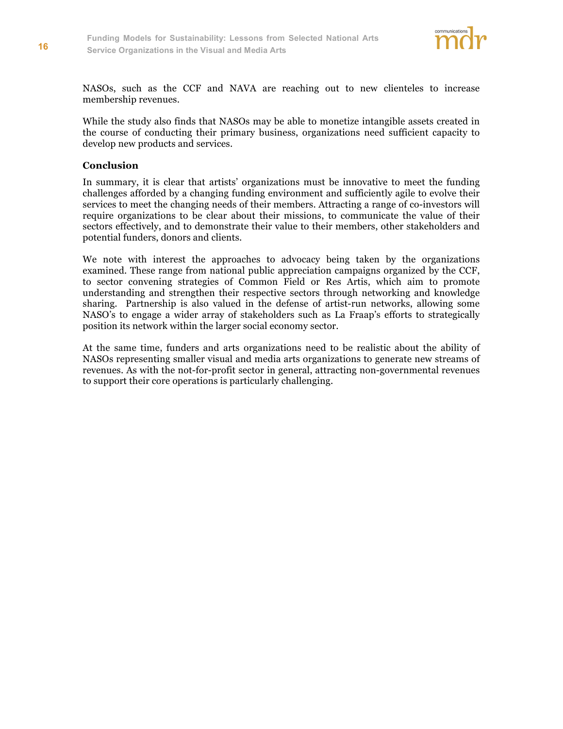

NASOs, such as the CCF and NAVA are reaching out to new clienteles to increase membership revenues.

While the study also finds that NASOs may be able to monetize intangible assets created in the course of conducting their primary business, organizations need sufficient capacity to develop new products and services.

#### **Conclusion**

In summary, it is clear that artists' organizations must be innovative to meet the funding challenges afforded by a changing funding environment and sufficiently agile to evolve their services to meet the changing needs of their members. Attracting a range of co-investors will require organizations to be clear about their missions, to communicate the value of their sectors effectively, and to demonstrate their value to their members, other stakeholders and potential funders, donors and clients.

We note with interest the approaches to advocacy being taken by the organizations examined. These range from national public appreciation campaigns organized by the CCF, to sector convening strategies of Common Field or Res Artis, which aim to promote understanding and strengthen their respective sectors through networking and knowledge sharing. Partnership is also valued in the defense of artist-run networks, allowing some NASO's to engage a wider array of stakeholders such as La Fraap's efforts to strategically position its network within the larger social economy sector.

At the same time, funders and arts organizations need to be realistic about the ability of NASOs representing smaller visual and media arts organizations to generate new streams of revenues. As with the not-for-profit sector in general, attracting non-governmental revenues to support their core operations is particularly challenging.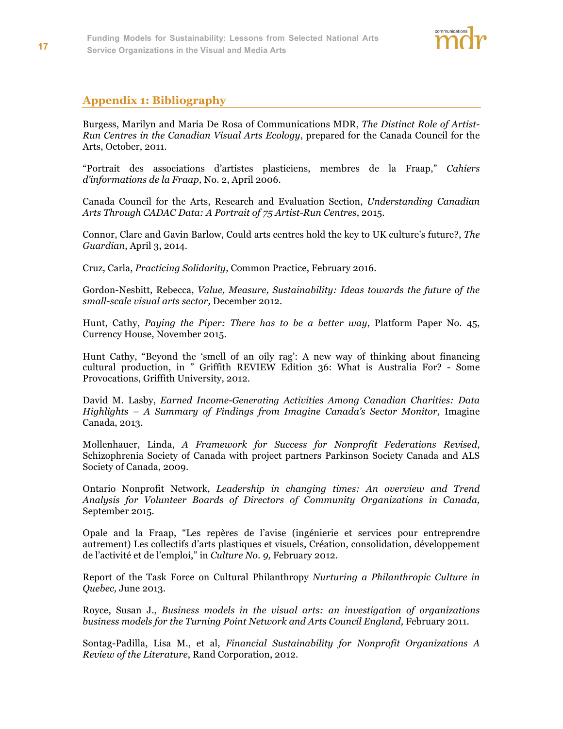

# **Appendix 1: Bibliography**

Burgess, Marilyn and Maria De Rosa of Communications MDR, *The Distinct Role of Artist-Run Centres in the Canadian Visual Arts Ecology*, prepared for the Canada Council for the Arts, October, 2011.

"Portrait des associations d'artistes plasticiens, membres de la Fraap," *Cahiers d'informations de la Fraap,* No. 2, April 2006.

Canada Council for the Arts, Research and Evaluation Section, *Understanding Canadian Arts Through CADAC Data: A Portrait of 75 Artist-Run Centres*, 2015.

Connor, Clare and Gavin Barlow, Could arts centres hold the key to UK culture's future?, *The Guardian*, April 3, 2014.

Cruz, Carla, *Practicing Solidarity*, Common Practice, February 2016.

Gordon-Nesbitt, Rebecca, *Value, Measure, Sustainability: Ideas towards the future of the small-scale visual arts sector,* December 2012.

Hunt, Cathy, *Paying the Piper: There has to be a better way*, Platform Paper No. 45, Currency House, November 2015.

Hunt Cathy, "Beyond the 'smell of an oily rag': A new way of thinking about financing cultural production, in " Griffith REVIEW Edition 36: What is Australia For? - Some Provocations, Griffith University, 2012.

David M. Lasby, *Earned Income-Generating Activities Among Canadian Charities: Data Highlights – A Summary of Findings from Imagine Canada's Sector Monitor,* Imagine Canada, 2013.

Mollenhauer, Linda, *A Framework for Success for Nonprofit Federations Revised*, Schizophrenia Society of Canada with project partners Parkinson Society Canada and ALS Society of Canada, 2009.

Ontario Nonprofit Network, *Leadership in changing times: An overview and Trend Analysis for Volunteer Boards of Directors of Community Organizations in Canada,* September 2015.

Opale and la Fraap, "Les repères de l'avise (ingénierie et services pour entreprendre autrement) Les collectifs d'arts plastiques et visuels, Création, consolidation, développement de l'activité et de l'emploi," in *Culture No. 9,* February 2012.

Report of the Task Force on Cultural Philanthropy *Nurturing a Philanthropic Culture in Quebec,* June 2013.

Royce, Susan J., *Business models in the visual arts: an investigation of organizations business models for the Turning Point Network and Arts Council England,* February 2011.

Sontag-Padilla, Lisa M., et al, *Financial Sustainability for Nonprofit Organizations A Review of the Literature*, Rand Corporation, 2012.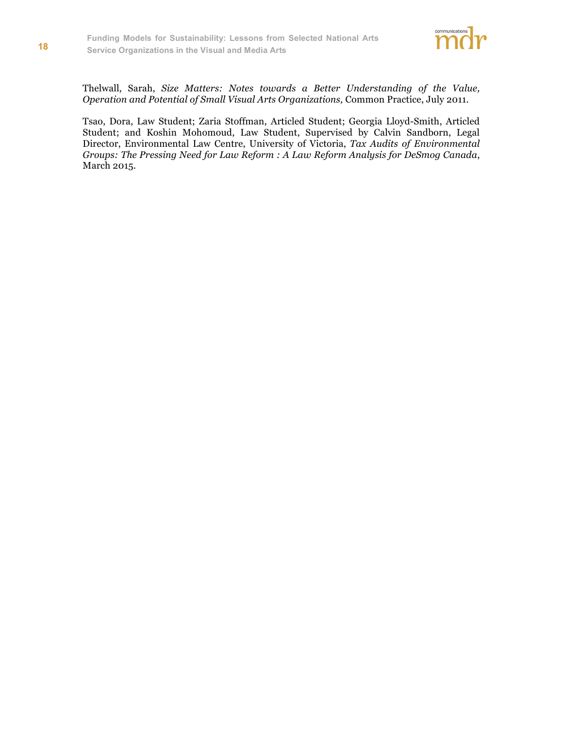

Thelwall, Sarah, *Size Matters: Notes towards a Better Understanding of the Value, Operation and Potential of Small Visual Arts Organizations,* Common Practice, July 2011.

Tsao, Dora, Law Student; Zaria Stoffman, Articled Student; Georgia Lloyd-Smith, Articled Student; and Koshin Mohomoud, Law Student, Supervised by Calvin Sandborn, Legal Director, Environmental Law Centre, University of Victoria, *Tax Audits of Environmental Groups: The Pressing Need for Law Reform : A Law Reform Analysis for DeSmog Canada*, March 2015.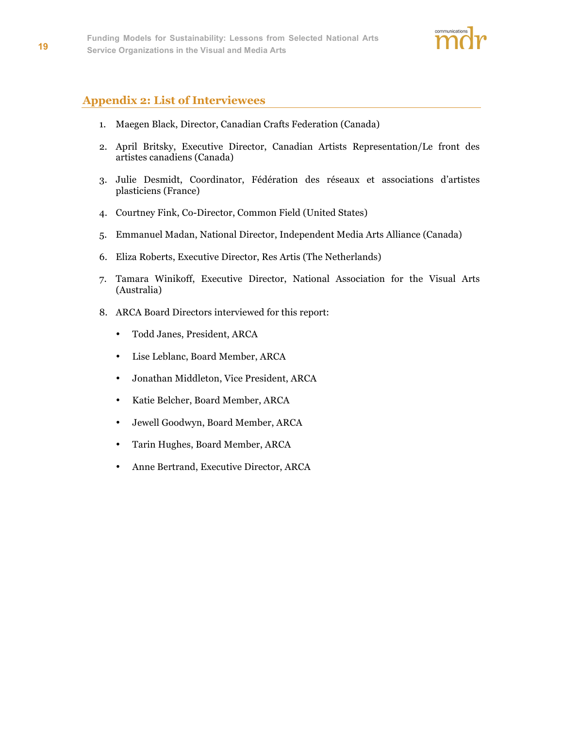

# **Appendix 2: List of Interviewees**

- 1. Maegen Black, Director, Canadian Crafts Federation (Canada)
- 2. April Britsky, Executive Director, Canadian Artists Representation/Le front des artistes canadiens (Canada)
- 3. Julie Desmidt, Coordinator, Fédération des réseaux et associations d'artistes plasticiens (France)
- 4. Courtney Fink, Co-Director, Common Field (United States)
- 5. Emmanuel Madan, National Director, Independent Media Arts Alliance (Canada)
- 6. Eliza Roberts, Executive Director, Res Artis (The Netherlands)
- 7. Tamara Winikoff, Executive Director, National Association for the Visual Arts (Australia)
- 8. ARCA Board Directors interviewed for this report:
	- Todd Janes, President, ARCA
	- Lise Leblanc, Board Member, ARCA
	- Jonathan Middleton, Vice President, ARCA
	- Katie Belcher, Board Member, ARCA
	- Jewell Goodwyn, Board Member, ARCA
	- Tarin Hughes, Board Member, ARCA
	- Anne Bertrand, Executive Director, ARCA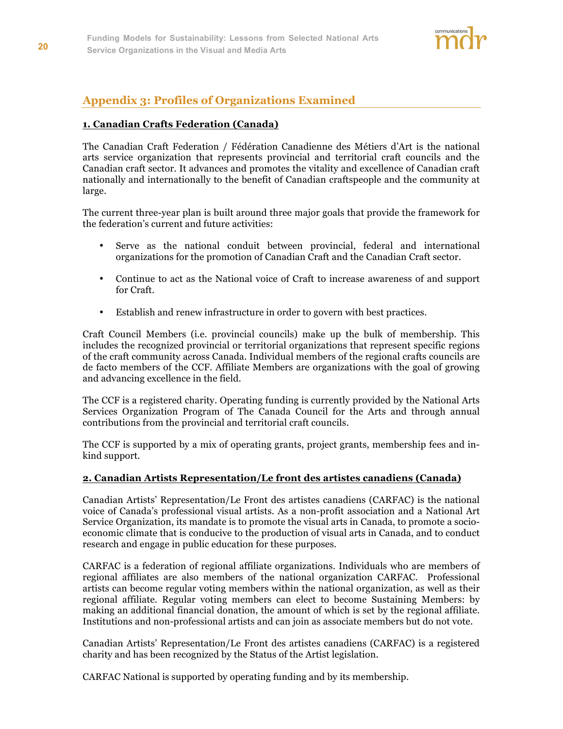

# **Appendix 3: Profiles of Organizations Examined**

#### **1. Canadian Crafts Federation (Canada)**

The Canadian Craft Federation / Fédération Canadienne des Métiers d'Art is the national arts service organization that represents provincial and territorial craft councils and the Canadian craft sector. It advances and promotes the vitality and excellence of Canadian craft nationally and internationally to the benefit of Canadian craftspeople and the community at large.

The current three-year plan is built around three major goals that provide the framework for the federation's current and future activities:

- Serve as the national conduit between provincial, federal and international organizations for the promotion of Canadian Craft and the Canadian Craft sector.
- Continue to act as the National voice of Craft to increase awareness of and support for Craft.
- Establish and renew infrastructure in order to govern with best practices.

Craft Council Members (i.e. provincial councils) make up the bulk of membership. This includes the recognized provincial or territorial organizations that represent specific regions of the craft community across Canada. Individual members of the regional crafts councils are de facto members of the CCF. Affiliate Members are organizations with the goal of growing and advancing excellence in the field.

The CCF is a registered charity. Operating funding is currently provided by the National Arts Services Organization Program of The Canada Council for the Arts and through annual contributions from the provincial and territorial craft councils.

The CCF is supported by a mix of operating grants, project grants, membership fees and inkind support.

#### **2. Canadian Artists Representation/Le front des artistes canadiens (Canada)**

Canadian Artists' Representation/Le Front des artistes canadiens (CARFAC) is the national voice of Canada's professional visual artists. As a non-profit association and a National Art Service Organization, its mandate is to promote the visual arts in Canada, to promote a socioeconomic climate that is conducive to the production of visual arts in Canada, and to conduct research and engage in public education for these purposes.

CARFAC is a federation of regional affiliate organizations. Individuals who are members of regional affiliates are also members of the national organization CARFAC. Professional artists can become regular voting members within the national organization, as well as their regional affiliate. Regular voting members can elect to become Sustaining Members: by making an additional financial donation, the amount of which is set by the regional affiliate. Institutions and non-professional artists and can join as associate members but do not vote.

Canadian Artists' Representation/Le Front des artistes canadiens (CARFAC) is a registered charity and has been recognized by the Status of the Artist legislation.

CARFAC National is supported by operating funding and by its membership.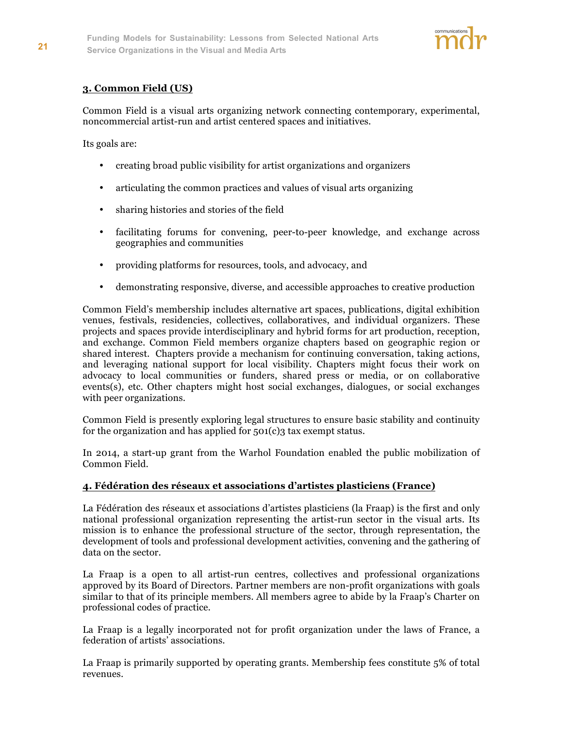

#### **3. Common Field (US)**

Common Field is a visual arts organizing network connecting contemporary, experimental, noncommercial artist-run and artist centered spaces and initiatives.

Its goals are:

- creating broad public visibility for artist organizations and organizers
- articulating the common practices and values of visual arts organizing
- sharing histories and stories of the field
- facilitating forums for convening, peer-to-peer knowledge, and exchange across geographies and communities
- providing platforms for resources, tools, and advocacy, and
- demonstrating responsive, diverse, and accessible approaches to creative production

Common Field's membership includes alternative art spaces, publications, digital exhibition venues, festivals, residencies, collectives, collaboratives, and individual organizers. These projects and spaces provide interdisciplinary and hybrid forms for art production, reception, and exchange. Common Field members organize chapters based on geographic region or shared interest. Chapters provide a mechanism for continuing conversation, taking actions, and leveraging national support for local visibility. Chapters might focus their work on advocacy to local communities or funders, shared press or media, or on collaborative events(s), etc. Other chapters might host social exchanges, dialogues, or social exchanges with peer organizations.

Common Field is presently exploring legal structures to ensure basic stability and continuity for the organization and has applied for  $501(c)$ 3 tax exempt status.

In 2014, a start-up grant from the Warhol Foundation enabled the public mobilization of Common Field.

#### **4. Fédération des réseaux et associations d'artistes plasticiens (France)**

La Fédération des réseaux et associations d'artistes plasticiens (la Fraap) is the first and only national professional organization representing the artist-run sector in the visual arts. Its mission is to enhance the professional structure of the sector, through representation, the development of tools and professional development activities, convening and the gathering of data on the sector.

La Fraap is a open to all artist-run centres, collectives and professional organizations approved by its Board of Directors. Partner members are non-profit organizations with goals similar to that of its principle members. All members agree to abide by la Fraap's Charter on professional codes of practice.

La Fraap is a legally incorporated not for profit organization under the laws of France, a federation of artists' associations.

La Fraap is primarily supported by operating grants. Membership fees constitute 5% of total revenues.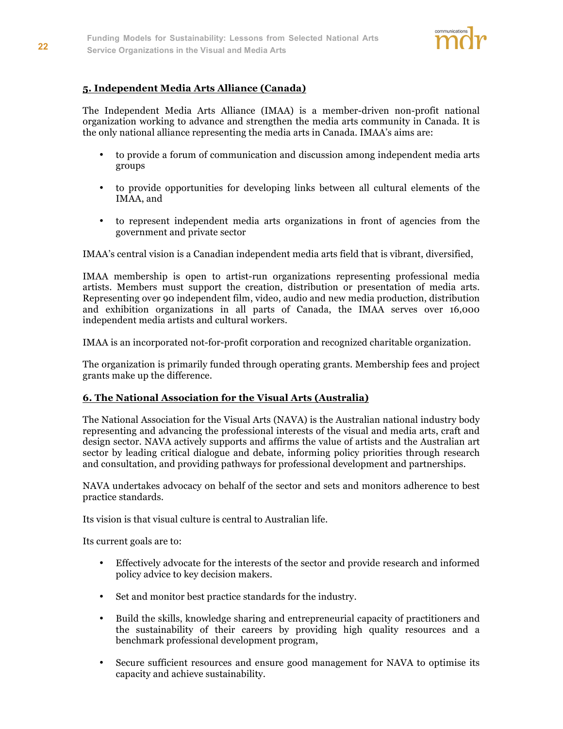

#### **5. Independent Media Arts Alliance (Canada)**

The Independent Media Arts Alliance (IMAA) is a member-driven non-profit national organization working to advance and strengthen the media arts community in Canada. It is the only national alliance representing the media arts in Canada. IMAA's aims are:

- to provide a forum of communication and discussion among independent media arts groups
- to provide opportunities for developing links between all cultural elements of the IMAA, and
- to represent independent media arts organizations in front of agencies from the government and private sector

IMAA's central vision is a Canadian independent media arts field that is vibrant, diversified,

IMAA membership is open to artist-run organizations representing professional media artists. Members must support the creation, distribution or presentation of media arts. Representing over 90 independent film, video, audio and new media production, distribution and exhibition organizations in all parts of Canada, the IMAA serves over 16,000 independent media artists and cultural workers.

IMAA is an incorporated not-for-profit corporation and recognized charitable organization.

The organization is primarily funded through operating grants. Membership fees and project grants make up the difference.

#### **6. The National Association for the Visual Arts (Australia)**

The National Association for the Visual Arts (NAVA) is the Australian national industry body representing and advancing the professional interests of the visual and media arts, craft and design sector. NAVA actively supports and affirms the value of artists and the Australian art sector by leading critical dialogue and debate, informing policy priorities through research and consultation, and providing pathways for professional development and partnerships.

NAVA undertakes advocacy on behalf of the sector and sets and monitors adherence to best practice standards.

Its vision is that visual culture is central to Australian life.

Its current goals are to:

- Effectively advocate for the interests of the sector and provide research and informed policy advice to key decision makers.
- Set and monitor best practice standards for the industry.
- Build the skills, knowledge sharing and entrepreneurial capacity of practitioners and the sustainability of their careers by providing high quality resources and a benchmark professional development program,
- Secure sufficient resources and ensure good management for NAVA to optimise its capacity and achieve sustainability.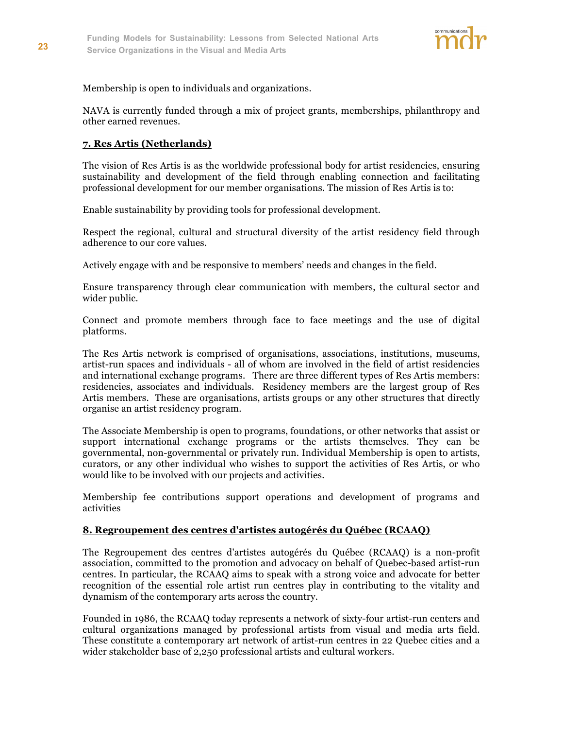

Membership is open to individuals and organizations.

NAVA is currently funded through a mix of project grants, memberships, philanthropy and other earned revenues.

#### **7. Res Artis (Netherlands)**

The vision of Res Artis is as the worldwide professional body for artist residencies, ensuring sustainability and development of the field through enabling connection and facilitating professional development for our member organisations. The mission of Res Artis is to:

Enable sustainability by providing tools for professional development.

Respect the regional, cultural and structural diversity of the artist residency field through adherence to our core values.

Actively engage with and be responsive to members' needs and changes in the field.

Ensure transparency through clear communication with members, the cultural sector and wider public.

Connect and promote members through face to face meetings and the use of digital platforms.

The Res Artis network is comprised of organisations, associations, institutions, museums, artist-run spaces and individuals - all of whom are involved in the field of artist residencies and international exchange programs. There are three different types of Res Artis members: residencies, associates and individuals. Residency members are the largest group of Res Artis members. These are organisations, artists groups or any other structures that directly organise an artist residency program.

The Associate Membership is open to programs, foundations, or other networks that assist or support international exchange programs or the artists themselves. They can be governmental, non-governmental or privately run. Individual Membership is open to artists, curators, or any other individual who wishes to support the activities of Res Artis, or who would like to be involved with our projects and activities.

Membership fee contributions support operations and development of programs and activities

#### **8. Regroupement des centres d'artistes autogérés du Québec (RCAAQ)**

The Regroupement des centres d'artistes autogérés du Québec (RCAAQ) is a non-profit association, committed to the promotion and advocacy on behalf of Quebec-based artist-run centres. In particular, the RCAAQ aims to speak with a strong voice and advocate for better recognition of the essential role artist run centres play in contributing to the vitality and dynamism of the contemporary arts across the country.

Founded in 1986, the RCAAQ today represents a network of sixty-four artist-run centers and cultural organizations managed by professional artists from visual and media arts field. These constitute a contemporary art network of artist-run centres in 22 Quebec cities and a wider stakeholder base of 2,250 professional artists and cultural workers.